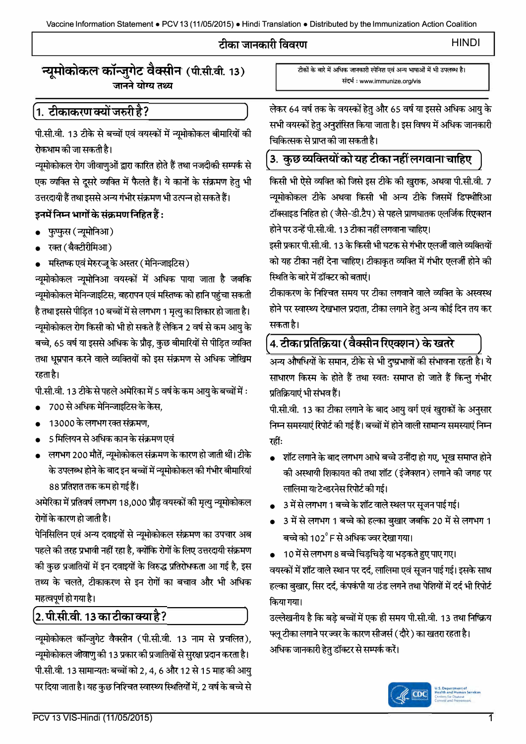#### टीका जानकारी विवरण

**HINDI** 

## न्युमोकोकल कॉन्जुगेट वैक्सीन (पी.सी.वी. 13) जानने योग्य तथ्य

# <u>्र</u>1. टीकाकरण क्यों जरुरी है?

पी.सी.वी. 13 टीके से बच्चों एवं वयस्कों में न्यूमोकोकल बीमारियों की रोकथाम की जा सकती है।

न्यूमोकोकल रोग जीवाणुओं द्वारा कारित होते हैं तथा नजदीकी सम्पर्क से एक व्यक्ति से दूसरे व्यक्ति में फैलते हैं। ये कानों के संक्रमण हेतु भी उत्तरदायी हैं तथा इससे अन्य गंभीर संक्रमण भी उत्पन्न हो सकते हैं।

#### इनमें निम्न भागों के संक्रमण निहित हैं :

- फुप्फुस (न्यूमोनिआ)
- रक्त (बैक्टीरीमिआ)
- मस्तिष्क एवं मेरुरजू के अस्तर (मेनिन्जाइटिस)

न्यमोकोकल न्यूमोनिआ वयस्कों में अधिक पाया जाता है जबकि न्यमोकोकल मेनिन्जाइटिस, बहरापन एवं मस्तिष्क को हानि पहंचा सकती है तथा इससे पीड़ित 10 बच्चों में से लगभग 1 मृत्यु का शिकार हो जाता है। न्यूमोकोकल रोग किसी को भी हो सकते हैं लेकिन 2 वर्ष से कम आयु के बच्चे, 65 वर्ष या इससे अधिक के प्रौढ़, कुछ बीमारियों से पीड़ित व्यक्ति तथा धूम्रपान करने वाले व्यक्तियों को इस संक्रमण से अधिक जोखिम रहता है।

पी.सी.वी. 13 टीके से पहले अमेरिका में 5 वर्ष के कम आयु के बच्चों में :

- 700 से अधिक मेनिन्जाइटिस के केस,
- 13000 के लगभग रक्त संक्रमण.
- 5 मिलियन से अधिक कान के संक्रमण एवं
- लगभग 200 मौतें, न्यूमोकोकल संक्रमण के कारण हो जाती थीं। टीके के उपलब्ध होने के बाद इन बच्चों में न्यूमोकोकल की गंभीर बीमारियां 88 प्रतिशत तक कम हो गई हैं।

अमेरिका में प्रतिवर्ष लगभग 18,000 प्रौढ़ वयस्कों की मृत्यु न्यूमोकोकल रोगों के कारण हो जाती है।

पेनिसिलिन एवं अन्य दवाइयों से न्यूमोकोकल संक्रमण का उपचार अब पहले की तरह प्रभावी नहीं रहा है, क्योंकि रोगों के लिए उत्तरदायी संक्रमण की कुछ प्रजातियों में इन दवाइयों के विरुद्ध प्रतिरोधकता आ गई है, इस तथ्य के चलते, टीकाकरण से इन रोगों का बचाव और भी अधिक महत्वपूर्ण हो गया है।

# <u>2. पी.सी.वी. 13 का टीका क्या है?</u>

न्यूमोकोकल कॉन्जुगेट वैक्सीन (पी.सी.वी. 13 नाम से प्रचलित), न्यूमोकोकल जीवाणु की 13 प्रकार की प्रजातियों से सुरक्षा प्रदान करता है। पी.सी.वी. 13 सामान्यतः बच्चों को 2, 4, 6 और 12 से 15 माह की आयु पर दिया जाता है। यह कुछ निश्चित स्वास्थ्य स्थितियों में, 2 वर्ष के बच्चे से टीकों के बारे में अधिक जानकारी स्पेनिश एवं अन्य भाषाओं में भी उपलब्ध है। संदर्भ : www.immunize.org/vis

लेकर 64 वर्ष तक के वयस्कों हेतु और 65 वर्ष या इससे अधिक आयु के सभी वयस्कों हेतु अनुशंसित किया जाता है। इस विषय में अधिक जानकारी चिकित्सक से प्राप्त की जा सकती है।

# .<br>3. कुछ व्यक्तियों को यह टीका नहीं लगवाना चाहिए

किसी भी ऐसे व्यक्ति को जिसे इस टीके की खुराक, अथवा पी.सी.वी. 7 न्यूमोकोकल टीके अथवा किसी भी अन्य टीके जिसमें डिफ्थीरिआ टॉक्साइड निहित हो (जैसे-डी.टैप) से पहले प्राणघातक एलर्जिक रिएक्शन होने पर उन्हें पी.सी.वी. 13 टीका नहीं लगवाना चाहिए।

इसी प्रकार पी.सी.वी. 13 के किसी भी घटक से गंभीर एलर्जी वाले व्यक्तियों को यह टीका नहीं देना चाहिए। टीकाकृत व्यक्ति में गंभीर एलर्जी होने की स्थिति के बारे में डॉक्टर को बताएं।

टीकाकरण के निश्चित समय पर टीका लगवाने वाले व्यक्ति के अस्वस्थ होने पर स्वास्थ्य देखभाल प्रदाता. टीका लगाने हेतु अन्य कोई दिन तय कर सकता है।

# 4. टीका प्रतिक्रिया ( वैक्सीन रिएक्शन) के खतरे

अन्य औषधियों के समान, टीके से भी दुष्प्रभावों की संभावना रहती है। ये साधारण किस्म के होते हैं तथा स्वतः समाप्त हो जाते हैं किन्तु गंभीर प्रतिक्रियाएं भी संभव हैं।

पी.सी.वी. 13 का टीका लगाने के बाद आयु वर्ग एवं खुराकों के अनुसार निम्न समस्याएं रिपोर्ट की गई हैं। बच्चों में होने वाली सामान्य समस्याएं निम्न रहीं:

- शॉट लगाने के बाद लगभग आधे बच्चे उनींदा हो गए, भूख समाप्त होने की अस्थायी शिकायत की तथा शॉट (इंजेक्शन) लगाने की जगह पर लालिमा या टेन्डरनेस रिपोर्ट की गई।
- 3 में से लगभग 1 बच्चे के शॉट वाले स्थल पर सूजन पाई गई।
- 3 में से लगभग 1 बच्चे को हल्का बुखार जबकि 20 में से लगभग 1 बच्चे को 102 $^{\circ}$  F से अधिक ज्वर देखा गया।
- 10 में से लगभग 8 बच्चे चिड़चिड़े या भड़कते हुए पाए गए। वयस्कों में शॉट वाले स्थान पर दर्द, लालिमा एवं सुजन पाई गई। इसके साथ हल्का बखार, सिर दर्द, कंपकंपी या ठंड लगने तथा पेशियों में दर्द भी रिपोर्ट किया गया।

उल्लेखनीय है कि बडे बच्चों में एक ही समय पी.सी.वी. 13 तथा निष्क्रिय फ्लु टीका लगाने पर ज्वर के कारण सीजर्स ( दौरे ) का खतरा रहता है। अधिक जानकारी हेतु डॉक्टर से सम्पर्क करें।

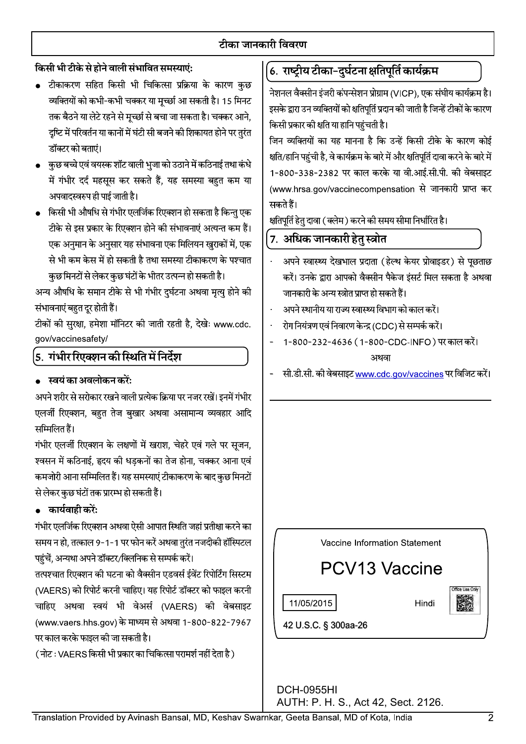## टीका जानकारी विवरण

## किसी भी टीके से होने वाली संभावित समस्याएं:

- टीकाकरण सहित किसी भी चिकित्सा प्रक्रिया के कारण कुछ व्यक्तियों को कभी-कभी चक्कर या मूच्छा आ सकती है। 15 मिनट तक बैठने या लेटे रहने से मुच्छा से बचा जा सकता है। चक्कर आने, दुष्टि में परिवर्तन या कानों में घंटी सी बजने की शिकायत होने पर तुरंत डॉक्टर को बताएं।
- कुछ बच्चे एवं वयस्क शॉट वाली भुजा को उठाने में कठिनाई तथा कंधे में गंभीर दर्द महसूस कर सकते हैं, यह समस्या बहुत कम या अपवादस्वरुप ही पाई जाती है।
- किसी भी औषधि से गंभीर एलर्जिक रिएक्शन हो सकता है किन्तु एक टीके से इस प्रकार के रिएक्शन होने की संभावनाएं अत्यन्त कम हैं। एक अनुमान के अनुसार यह संभावना एक मिलियन खुराकों में, एक से भी कम केस में हो सकती है तथा समस्या टीकाकरण के पश्चात कुछ मिनटों से लेकर कुछ घंटों के भीतर उत्पन्न हो सकती है।

अन्य औषधि के समान टीके से भी गंभीर दुर्घटना अथवा मृत्यु होने की संभावनाएं बहुत दूर होती हैं।

टीकों की सुरक्षा, हमेशा मॉनिटर की जाती रहती है, देखेः www.cdc. gov/vaccinesafety/

## ,<br>5. गंभीर रिएक्शन की स्थिति में निर्देश

#### स्वयं का अवलोकन करें:

अपने शरीर से सरोकार रखने वाली प्रत्येक क्रिया पर नजर रखें। इनमें गंभीर एलर्जी रिएक्शन, बहुत तेज बुखार अथवा असामान्य व्यवहार आदि सम्मिलित हैं।

गंभीर एलर्जी रिएक्शन के लक्षणों में खराश, चेहरे एवं गले पर सृजन, श्वसन में कठिनाई, हृदय की धडकनों का तेज होना, चक्कर आना एवं कमजोरी आना सम्मिलित हैं। यह समस्याएं टीकाकरण के बाद कुछ मिनटों से लेकर कुछ घंटों तक प्रारम्भ हो सकती हैं।

#### • कार्यवाही करें:

गंभीर एलर्जिक रिएक्शन अथवा ऐसी आपात स्थिति जहां प्रतीक्षा करने का समय न हो, तत्काल 9-1-1 पर फोन करें अथवा तुरंत नजदीकी हॉस्पिटल पहुंचें, अन्यथा अपने डॉक्टर/क्लिनिक से सम्पर्क करें।

तत्पश्चात रिएक्शन की घटना को वैक्सीन एडवर्स ईवेंट रिपोर्टिंग सिस्टम (VAERS) को रिपोर्ट करनी चाहिए। यह रिपोर्ट डॉक्टर को फाइल करनी चाहिए अथवा स्वयं भी वेअर्स (VAERS) की वेबसाइट (www.vaers.hhs.gov) के माध्यम से अथवा 1-800-822-7967 पर काल करके फाइल की जा सकती है।

( नोट : VAERS किसी भी प्रकार का चिकित्सा परामर्श नहीं देता है)

# (6. राष्ट्रीय टीका-दुर्घटना क्षतिपूर्ति कार्यक्रम

नेशनल वैक्सीन इंजरी कंपन्सेशन प्रोग्राम (VICP), एक संघीय कार्यक्रम है। इसके द्वारा उन व्यक्तियों को क्षतिपूर्ति प्रदान की जाती है जिन्हें टीकों के कारण किसी प्रकार की क्षति या हानि पहुंचती है।

जिन व्यक्तियों का यह मानना है कि उन्हें किसी टीके के कारण कोई क्षति/हानि पहुंची है, वे कार्यक्रम के बारे में और क्षतिपूर्ति दावा करने के बारे में 1-800-338-2382 पर काल करके या वी.आई.सी.पी. की वेबसाइट (www.hrsa.gov/vaccinecompensation से जानकारी प्राप्त कर सकते हैं।

क्षतिपूर्ति हेतु दावा ( क्लेम ) करने की समय सीमा निर्धारित है।

## **7. अधिक जानकारी हेतु स्त्रोत**

- अपने स्वास्थ्य देखभाल प्रदाता (हेल्थ केयर प्रोवाइडर) से पूछताछ करें। उनके द्वारा आपको वैक्सीन पैकेज इंसर्ट मिल सकता है अथवा जानकारी के अन्य स्त्रोत प्राप्त हो सकते हैं।
- अपने स्थानीय या राज्य स्वास्थ्य विभाग को काल करें।
- रोग नियंत्रण एवं निवारण केन्द्र (CDC) से सम्पर्क करें।
- 1-800-232-4636 (1-800-CDC-INFO) पर काल करें। अथवा
- सी.डी.सी. की वेबसाइट www.cdc.gov/vaccines पर विजिट करें।



11/05/2015

Hindi

42 U.S.C. § 300aa-26